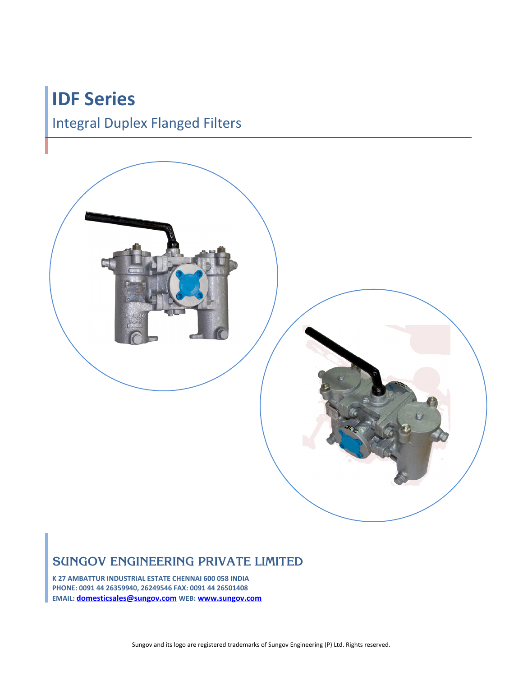# **IDF Series**

## Integral Duplex Flanged Filters



### **SUNGOV ENGINEERING PRIVATE LIMITED**

**K 27 AMBATTUR INDUSTRIAL ESTATE CHENNAI 600 058 INDIA PHONE: 0091 44 26359940, 26249546 FAX: 0091 44 26501408 EMAIL: [domesticsales@sungov.com](mailto:domesticsales@sungov.com) WEB: [www.sungov.com](http://www.sungov.com/)**